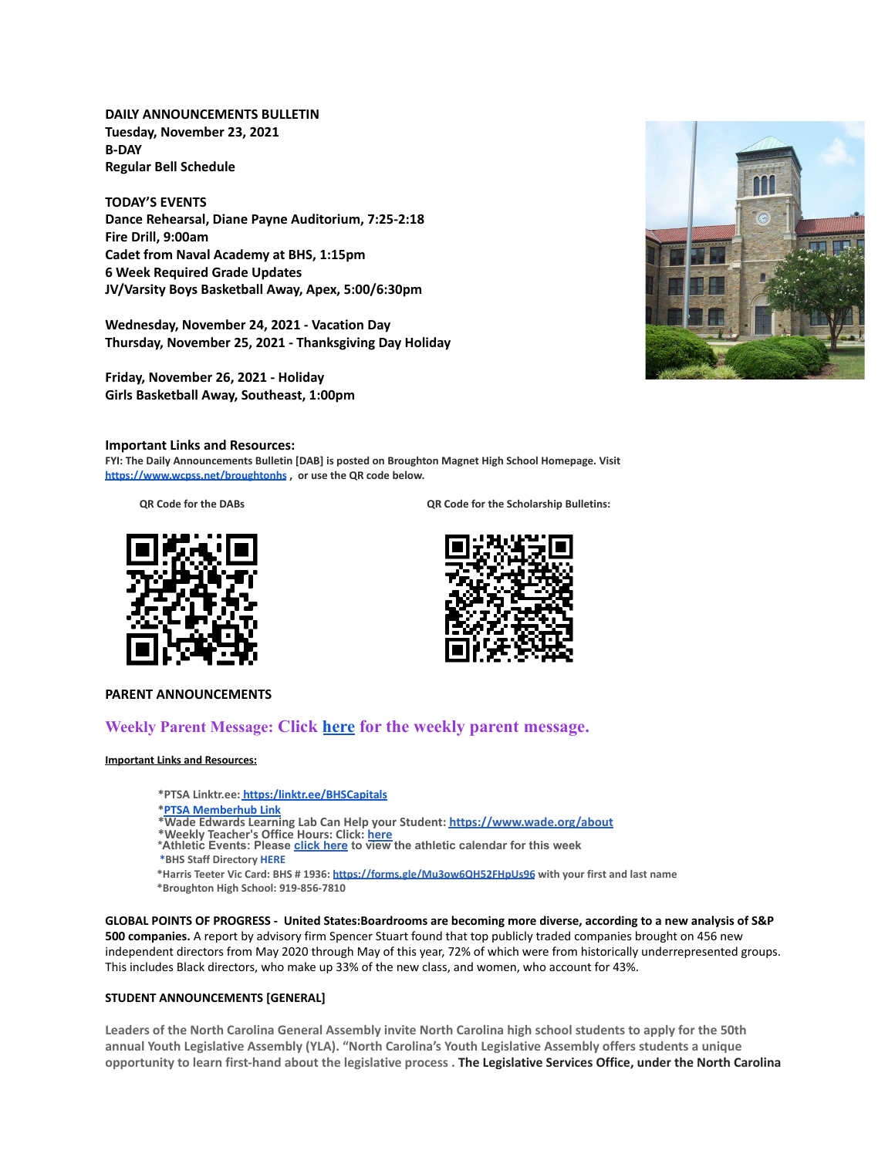**DAILY ANNOUNCEMENTS BULLETIN Tuesday, November 23, 2021 B-DAY Regular Bell Schedule**

**TODAY'S EVENTS Dance Rehearsal, Diane Payne Auditorium, 7:25-2:18 Fire Drill, 9:00am Cadet from Naval Academy at BHS, 1:15pm 6 Week Required Grade Updates JV/Varsity Boys Basketball Away, Apex, 5:00/6:30pm**

**Wednesday, November 24, 2021 - Vacation Day Thursday, November 25, 2021 - Thanksgiving Day Holiday**

**Friday, November 26, 2021 - Holiday Girls Basketball Away, Southeast, 1:00pm**



#### **Important Links and Resources:**

**FYI: The Daily Announcements Bulletin [DAB] is posted on Broughton Magnet High School Homepage. Visit <https://www.wcpss.net/broughtonhs> , or use the QR code below.**

**QR Code for the DABs QR Code for the Scholarship Bulletins:**





### **PARENT ANNOUNCEMENTS**

# **Weekly Parent Message: Click [here](https://docs.google.com/document/d/1ZF9OEfvYvTonW9SqwTLOlbIuI96oPgZCG8WRTjuSplM/edit?usp=sharing) for the weekly parent message.**

#### **Important Links and Resources:**

**\*PTSA Linktr.ee: [https:/linktr.ee/BHSCapitals](https://linktr.ee/BHSCapitals)**

**\*PTSA [Memberhub](https://bhs.memberhub.com/store?category=Class%20of%202025) Link**

**\*Wade Edwards Learning Lab Can Help your Student: <https://www.wade.org/about>**

- 
- \*Weekly Teacher's Office Hours: Click: <u>[here](http://track.spe.schoolmessenger.com/f/a/VXmQUgL3DjY_xouvtQeSYg~~/AAAAAQA~/RgRjH1ehP0QiaHR0cHM6Ly93d3cud2Nwc3MubmV0L2RvbWFpbi8xNzY0MlcHc2Nob29sbUIKYTghJD5h5cteolIYa21jY29ubmVsbEBidWRkZ3JvdXAuY29tWAQAAAAB)</u><br>\*Athletic Events: Please <u>[click](http://track.spe.schoolmessenger.com/f/a/iNb9DXg0NxAeuYTJ_UBTRg~~/AAAAAQA~/RgRjH1ehP0RFaHR0cHM6Ly93d3cud2FrZWNvdW50eWF0aGxldGljcy5jb20vcGFnZS9zaG93LzE5NTI5MzQtbWFzdGVyLWNhbGVuZGFyVwdzY2hvb2xtQgphOCEkPmHly16iUhhrbWNjb25uZWxsQGJ1ZGRncm91cC5jb21YBAAAAAE~) here</u> to view the athletic calendar for this week
- **\*BHS Staff Directory [HERE](https://www.wcpss.net/Page/45215)**

**\*Harris Teeter Vic Card: BHS # 1936: <https://forms.gle/Mu3ow6QH52FHpUs96> with your first and last name**

**\*Broughton High School: 919-856-7810**

**GLOBAL POINTS OF PROGRESS - United States:Boardrooms are becoming more diverse, according to a new analysis of S&P 500 companies.** A report by advisory firm Spencer Stuart found that top publicly traded companies brought on 456 new independent directors from May 2020 through May of this year, 72% of which were from historically underrepresented groups. This includes Black directors, who make up 33% of the new class, and women, who account for 43%.

# **STUDENT ANNOUNCEMENTS [GENERAL]**

Leaders of the North Carolina General Assembly invite North Carolina high school students to apply for the 50th **annual Youth Legislative Assembly (YLA). "North Carolina's Youth Legislative Assembly offers students a unique** opportunity to learn first-hand about the legislative process. The Legislative Services Office, under the North Carolina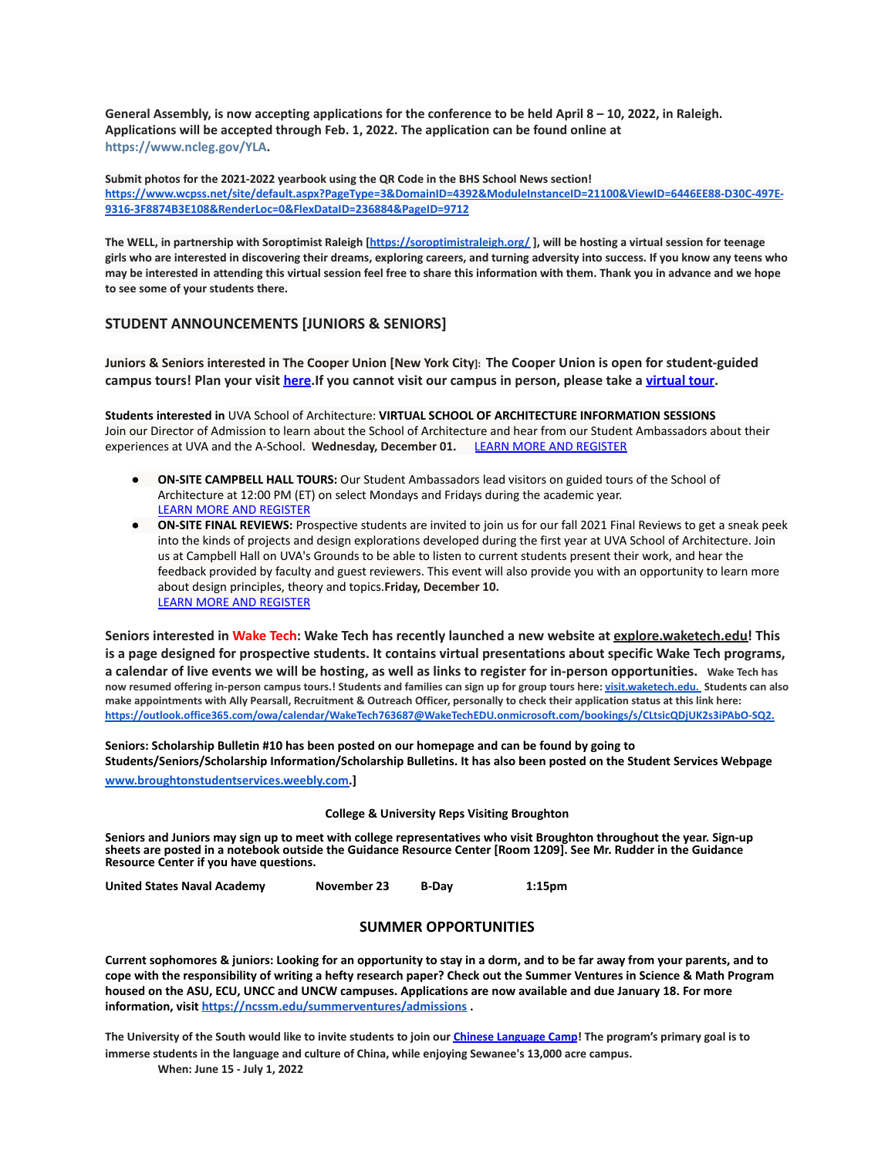General Assembly, is now accepting applications for the conference to be held April 8 - 10, 2022, in Raleigh. **Applications will be accepted through Feb. 1, 2022. The application can be found online at <https://www.ncleg.gov/YLA>.**

**Submit photos for the 2021-2022 yearbook using the QR Code in the BHS School News section! [https://www.wcpss.net/site/default.aspx?PageType=3&DomainID=4392&ModuleInstanceID=21100&ViewID=6446EE88-D30C-497E-](https://www.wcpss.net/site/default.aspx?PageType=3&DomainID=4392&ModuleInstanceID=21100&ViewID=6446EE88-D30C-497E-9316-3F8874B3E108&RenderLoc=0&FlexDataID=236884&PageID=9712)[9316-3F8874B3E108&RenderLoc=0&FlexDataID=236884&PageID=9712](https://www.wcpss.net/site/default.aspx?PageType=3&DomainID=4392&ModuleInstanceID=21100&ViewID=6446EE88-D30C-497E-9316-3F8874B3E108&RenderLoc=0&FlexDataID=236884&PageID=9712)**

The WELL, in partnership with Soroptimist Raleigh [\[https://soroptimistraleigh.org/](https://soroptimistraleigh.org/)], will be hosting a virtual session for teenage girls who are interested in discovering their dreams, exploring careers, and turning adversity into success. If you know any teens who may be interested in attending this virtual session feel free to share this information with them. Thank you in advance and we hope **to see some of your students there.**

## **STUDENT ANNOUNCEMENTS [JUNIORS & SENIORS]**

Juniors & Seniors interested in The Cooper Union [New York City]: The Cooper Union is open for student-guided campus tours! Plan your visit [here.](https://mx.technolutions.net/ss/c/BQM-IylQKwVhFDmSUz94JCeAoXPHvyTV8eb-HnPfKQ_RSyJ1BIZRQ8agfFQ1jnFuBm4_UD__LE2Y5kYDo1-NMw/3gw/3Mg1d_6eRoCwBiI5pZK1gA/h1/_yL7vCBJh6gj-26tp3piVA2aX7sqXm6xVNh2VVwpQkE) If you cannot visit our campus in person, please take a [virtual](https://mx.technolutions.net/ss/c/gsby7xed_Q9kJKoUKuDGdAY8jVyHuuMOFEtXhrzhihZ704DlDLavLU60Sj5JuWE7YCXVvrJtnhs8g1sXB0AE4w/3gw/3Mg1d_6eRoCwBiI5pZK1gA/h2/--y2ChbQlW_6N8K3O3LqasrDy-e4sFXcxMbajuL9b_E) tour.

**Students interested in** UVA School of Architecture: **VIRTUAL SCHOOL OF ARCHITECTURE INFORMATION SESSIONS** Join our Director of Admission to learn about the School of Architecture and hear from our Student Ambassadors about their experiences at UVA and the A-School. **Wednesday, December 01.** [LEARN MORE AND REGISTER](https://mx.technolutions.net/ss/c/gsby7xed_Q9kJKoUKuDGdHJU_xn8MSEg7Tp2Z8RR0Cjzs4oKR4EyX-gonRaDficilbWcu-Hd5OGMSIQgeBuJwpXBIU8hNakcK5E6cB8xYlWhpTlyn9TVxm4fjXwxKutl/3fi/KAdjyAqgR1uh964rXQyg-Q/h2/P4s4fx6PWiJritewBLIKpesY9bBwntP2-2k-cIQp48g)

- **ON-SITE CAMPBELL HALL TOURS:** Our Student Ambassadors lead visitors on guided tours of the School of Architecture at 12:00 PM (ET) on select Mondays and Fridays during the academic year. [LEARN MORE AND REGISTER](https://mx.technolutions.net/ss/c/gsby7xed_Q9kJKoUKuDGdHJU_xn8MSEg7Tp2Z8RR0CgRzltbU4pIVU2mc1GlJEWKTIwNa22DVoseIuz1LXWuto_xSBcuCL4zs8UTe2Y_YZo/3fi/KAdjyAqgR1uh964rXQyg-Q/h3/xInJZNxwjH3Xq6zXGZRPeAzxrRToFEQgHSHu-TZPG2A)
- **ON-SITE FINAL REVIEWS:** Prospective students are invited to join us for our fall 2021 Final Reviews to get a sneak peek into the kinds of projects and design explorations developed during the first year at UVA School of Architecture. Join us at Campbell Hall on UVA's Grounds to be able to listen to current students present their work, and hear the feedback provided by faculty and guest reviewers. This event will also provide you with an opportunity to learn more about design principles, theory and topics.**Friday, December 10.** [LEARN MORE AND REGISTER](https://mx.technolutions.net/ss/c/gsby7xed_Q9kJKoUKuDGdHJU_xn8MSEg7Tp2Z8RR0CjpjPErzv_wI7EmaQR5WhrwmiJ6kPJ9YQ90Nd2Or4u7ZNmrOV6gjXuFHka_5-OV-4Z0YZYkrAypPcv5Fn6Df1vfLA3cIXRTpKQQisgdq6_MjA/3fi/KAdjyAqgR1uh964rXQyg-Q/h5/g89BHNP4pprI_c6MTwEVwExXWjULh19v_XYX-kRNSJI)

**Seniors interested in Wake Tech: Wake Tech has recently launched a new website at explore.waketech.edu! This** is a page designed for prospective students. It contains virtual presentations about specific Wake Tech programs, a calendar of live events we will be hosting, as well as links to register for in-person opportunities. Wake Tech has now resumed offering in-person campus tours.! Students and families can sign up for group tours here: [visit.waketech.edu](https://www.waketech.edu/recruiting-and-outreach/visit-wake-tech). Students can also make appointments with Ally Pearsall, Recruitment & Outreach Officer, personally to check their application status at this link here: **[https://outlook.office365.com/owa/calendar/WakeTech763687@WakeTechEDU.onmicrosoft.com/bookings/s/CLtsicQDjUK2s3iPAbO-SQ2.](https://outlook.office365.com/owa/calendar/WakeTech763687@WakeTechEDU.onmicrosoft.com/bookings/s/CLtsicQDjUK2s3iPAbO-SQ2)**

**Seniors: Scholarship Bulletin #10 has been posted on our homepage and can be found by going to Students/Seniors/Scholarship Information/Scholarship Bulletins. It has also been posted on the Student Services Webpage**

**[www.broughtonstudentservices.weebly.com.](http://www.broughtonstudentservices.weebly.com)]**

**College & University Reps Visiting Broughton**

**Seniors and Juniors may sign up to meet with college representatives who visit Broughton throughout the year. Sign-up sheets are posted in a notebook outside the Guidance Resource Center [Room 1209]. See Mr. Rudder in the Guidance Resource Center if you have questions.**

**United States Naval Academy November 23 B-Day 1:15pm**

## **SUMMER OPPORTUNITIES**

**Current sophomores & juniors: Looking for an opportunity to stay in a dorm, and to be far away from your parents, and to cope with the responsibility of writing a hefty research paper? Check out the Summer Ventures in Science & Math Program housed on the ASU, ECU, UNCC and UNCW campuses. Applications are now available and due January 18. For more information, visit <https://ncssm.edu/summerventures/admissions> .**

The University of the South would like to invite students to join our Chinese [Language](https://mx.technolutions.net/ss/c/eakQ-C8DCmUrd8y7yBWDFiYAOUoJQ4pz7MfbEBpip6l0y_Hm_m-q4S1NAhKySW0l0l52Av-XFInBcX_HbKNhaFaTuY25zEq03f7H2jjkYbiZerVnvT_jJBJvBnD8L-82oFcjCA4feCp5rOrmzPCcig/3h1/Zb0AzY0dSO6ybsQoCzalvA/h1/a-eaRv0bEo5dxrOjmNABke9N9q3IKNCmv7tp3yn1eRg) Camp! The program's primary goal is to **immerse students in the language and culture of China, while enjoying Sewanee's 13,000 acre campus. When: June 15 - July 1, 2022**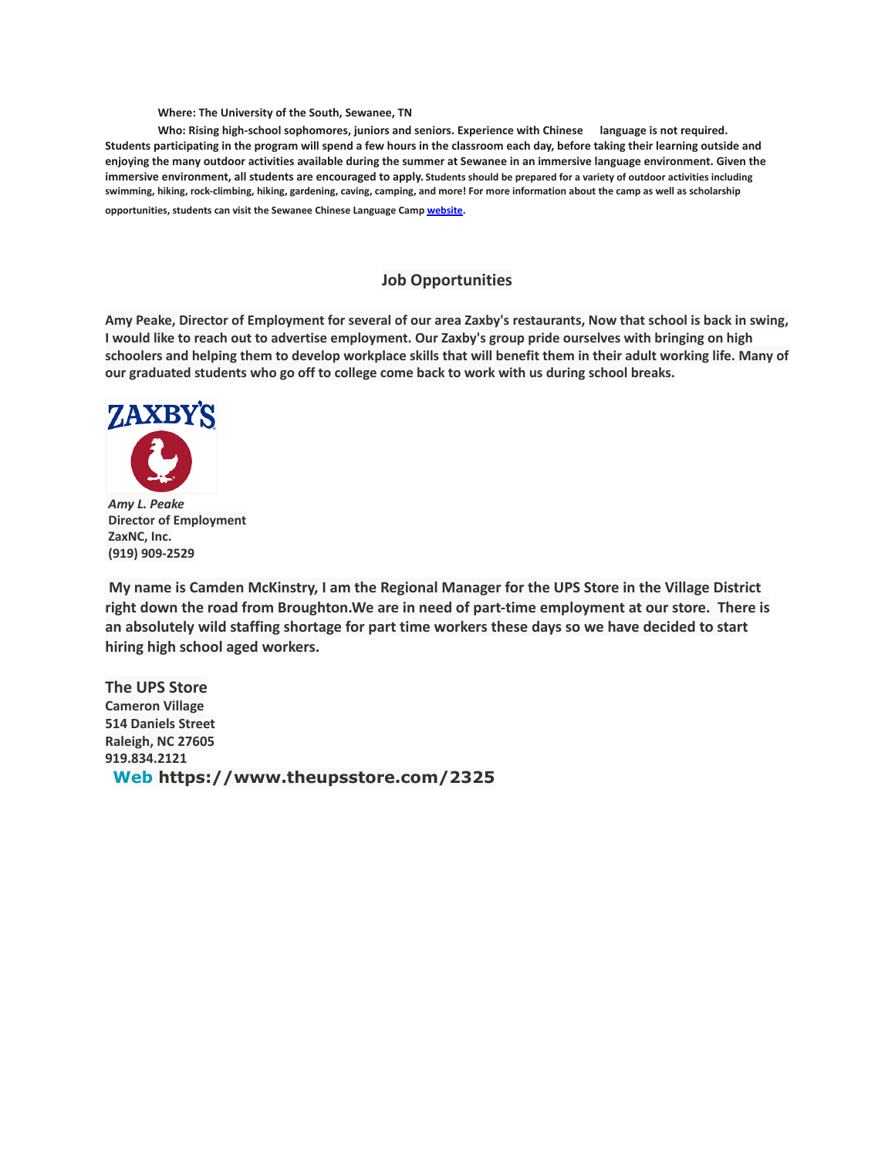#### **Where: The University of the South, Sewanee, TN**

**Who: Rising high-school sophomores, juniors and seniors. Experience with Chinese language is not required.** Students participating in the program will spend a few hours in the classroom each day, before taking their learning outside and enjoying the many outdoor activities available during the summer at Sewanee in an immersive language environment. Given the **immersive environment, all students are encouraged to apply. Students should be prepared for a variety of outdoor activities including swimming, hiking, rock-climbing, hiking, gardening, caving, camping, and more! For more information about the camp as well as scholarship opportunities, students can visit the Sewanee Chinese Language Camp [website.](https://mx.technolutions.net/ss/c/eakQ-C8DCmUrd8y7yBWDFiYAOUoJQ4pz7MfbEBpip6l0y_Hm_m-q4S1NAhKySW0l0l52Av-XFInBcX_HbKNhaFaTuY25zEq03f7H2jjkYbiZerVnvT_jJBJvBnD8L-82oFcjCA4feCp5rOrmzPCcig/3h1/Zb0AzY0dSO6ybsQoCzalvA/h2/75iusWoe6oX7KGnwrl--J5PGQK1G9zr9iO3WkMg5UHE)**

# **Job Opportunities**

Amy Peake, Director of Employment for several of our area Zaxby's restaurants, Now that school is back in swing, I would like to reach out to advertise employment. Our Zaxby's group pride ourselves with bringing on high schoolers and helping them to develop workplace skills that will benefit them in their adult working life. Many of **our graduated students who go off to college come back to work with us during school breaks.**



*Amy L. Peake* **Director of Employment ZaxNC, Inc. (919) 909-2529**

**My name is Camden McKinstry, I am the Regional Manager for the UPS Store in the Village District right down the road from Broughton.We are in need of part-time employment at our store. There is an absolutely wild staffing shortage for part time workers these days so we have decided to start hiring high school aged workers.**

**The UPS Store Cameron Village 514 Daniels Street Raleigh, NC 27605 919.834.2121 Web https://www.theupsstore.com/2325**